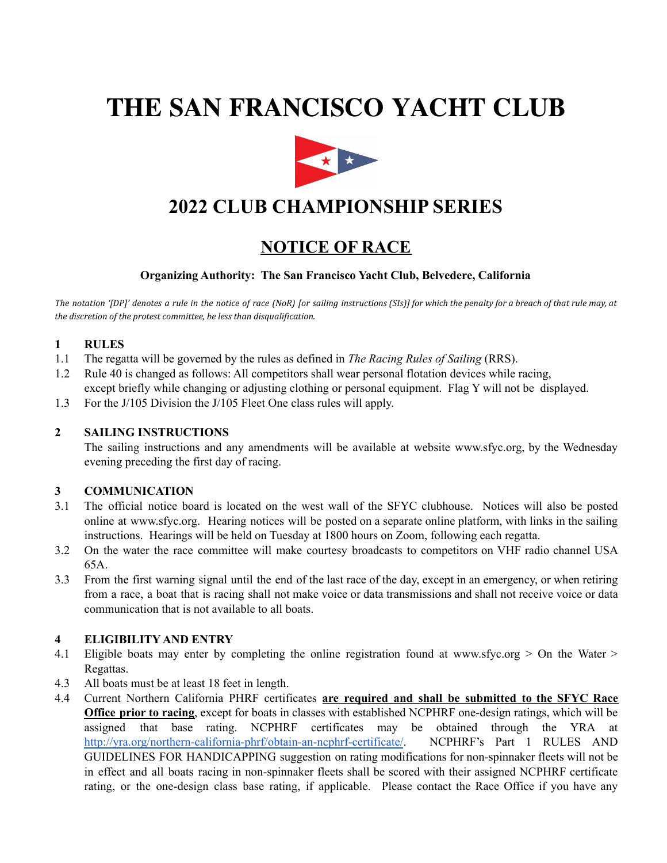# **THE SAN FRANCISCO YACHT CLUB**



# **2022 CLUB CHAMPIONSHIP SERIES**

# **NOTICE OF RACE**

# **Organizing Authority: The San Francisco Yacht Club, Belvedere, California**

The notation '[DP]' denotes a rule in the notice of race (NoR) [or sailing instructions (SIs)] for which the penalty for a breach of that rule may, at *the discretion of the protest committee, be less than disqualification.*

### **1 RULES**

- 1.1 The regatta will be governed by the rules as defined in *The Racing Rules of Sailing* (RRS).
- 1.2 Rule 40 is changed as follows: All competitors shall wear personal flotation devices while racing, except briefly while changing or adjusting clothing or personal equipment. Flag Y will not be displayed.
- 1.3 For the J/105 Division the J/105 Fleet One class rules will apply.

#### **2 SAILING INSTRUCTIONS**

The sailing instructions and any amendments will be available at website www.sfyc.org, by the Wednesday evening preceding the first day of racing.

#### **3 COMMUNICATION**

- 3.1 The official notice board is located on the west wall of the SFYC clubhouse. Notices will also be posted online at www.sfyc.org. Hearing notices will be posted on a separate online platform, with links in the sailing instructions. Hearings will be held on Tuesday at 1800 hours on Zoom, following each regatta.
- 3.2 On the water the race committee will make courtesy broadcasts to competitors on VHF radio channel USA 65A.
- 3.3 From the first warning signal until the end of the last race of the day, except in an emergency, or when retiring from a race, a boat that is racing shall not make voice or data transmissions and shall not receive voice or data communication that is not available to all boats.

#### **4 ELIGIBILITY AND ENTRY**

- 4.1 Eligible boats may enter by completing the online registration found at www.sfyc.org > On the Water > Regattas.
- 4.3 All boats must be at least 18 feet in length.
- 4.4 Current Northern California PHRF certificates **are required and shall be submitted to the SFYC Race Office prior to racing**, except for boats in classes with established NCPHRF one-design ratings, which will be assigned that base rating. NCPHRF certificates may be obtained through the YRA at <http://yra.org/northern-california-phrf/obtain-an-ncphrf-certificate/>. NCPHRF's Part 1 RULES AND GUIDELINES FOR HANDICAPPING suggestion on rating modifications for non-spinnaker fleets will not be in effect and all boats racing in non-spinnaker fleets shall be scored with their assigned NCPHRF certificate rating, or the one-design class base rating, if applicable. Please contact the Race Office if you have any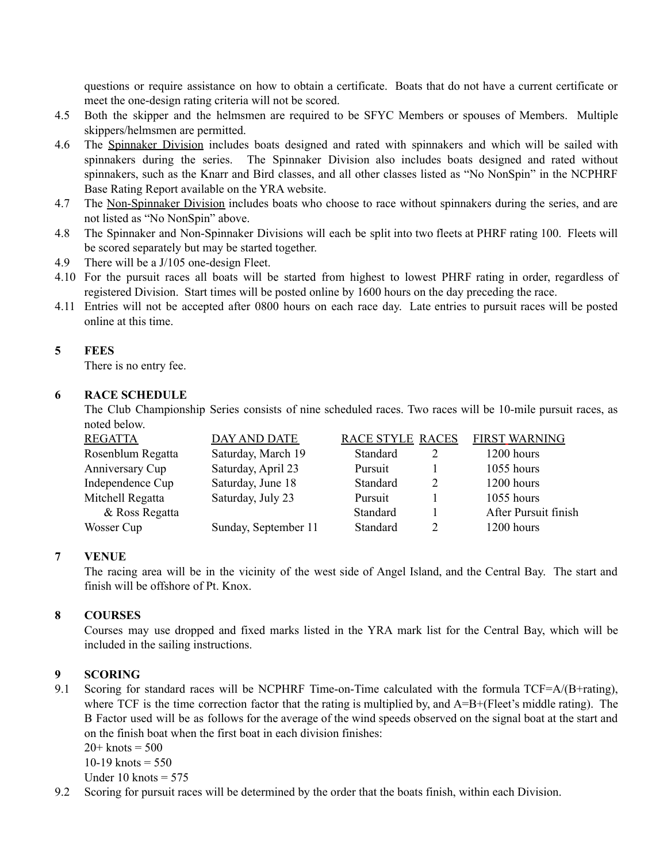questions or require assistance on how to obtain a certificate. Boats that do not have a current certificate or meet the one-design rating criteria will not be scored.

- 4.5 Both the skipper and the helmsmen are required to be SFYC Members or spouses of Members. Multiple skippers/helmsmen are permitted.
- 4.6 The Spinnaker Division includes boats designed and rated with spinnakers and which will be sailed with spinnakers during the series. The Spinnaker Division also includes boats designed and rated without spinnakers, such as the Knarr and Bird classes, and all other classes listed as "No NonSpin" in the NCPHRF Base Rating Report available on the YRA website.
- 4.7 The Non-Spinnaker Division includes boats who choose to race without spinnakers during the series, and are not listed as "No NonSpin" above.
- 4.8 The Spinnaker and Non-Spinnaker Divisions will each be split into two fleets at PHRF rating 100. Fleets will be scored separately but may be started together.
- 4.9 There will be a J/105 one-design Fleet.
- 4.10 For the pursuit races all boats will be started from highest to lowest PHRF rating in order, regardless of registered Division. Start times will be posted online by 1600 hours on the day preceding the race.
- 4.11 Entries will not be accepted after 0800 hours on each race day. Late entries to pursuit races will be posted online at this time.

### **5 FEES**

There is no entry fee.

#### **6 RACE SCHEDULE**

The Club Championship Series consists of nine scheduled races. Two races will be 10-mile pursuit races, as noted below.

| <b>REGATTA</b>    | DAY AND DATE         | RACE STYLE RACES |               | <b>FIRST WARNING</b> |
|-------------------|----------------------|------------------|---------------|----------------------|
| Rosenblum Regatta | Saturday, March 19   | Standard         |               | 1200 hours           |
| Anniversary Cup   | Saturday, April 23   | Pursuit          |               | 1055 hours           |
| Independence Cup  | Saturday, June 18    | Standard         | $\mathcal{D}$ | 1200 hours           |
| Mitchell Regatta  | Saturday, July 23    | Pursuit          |               | 1055 hours           |
| & Ross Regatta    |                      | Standard         |               | After Pursuit finish |
| Wosser Cup        | Sunday, September 11 | Standard         |               | 1200 hours           |

# **7 VENUE**

The racing area will be in the vicinity of the west side of Angel Island, and the Central Bay. The start and finish will be offshore of Pt. Knox.

# **8 COURSES**

Courses may use dropped and fixed marks listed in the YRA mark list for the Central Bay, which will be included in the sailing instructions.

# **9 SCORING**

9.1 Scoring for standard races will be NCPHRF Time-on-Time calculated with the formula TCF=A/(B+rating), where TCF is the time correction factor that the rating is multiplied by, and  $A=B+(Fleet's middle rating)$ . The B Factor used will be as follows for the average of the wind speeds observed on the signal boat at the start and on the finish boat when the first boat in each division finishes:

 $20 +$  knots = 500

 $10-19$  knots = 550

Under 10 knots  $= 575$ 

9.2 Scoring for pursuit races will be determined by the order that the boats finish, within each Division.